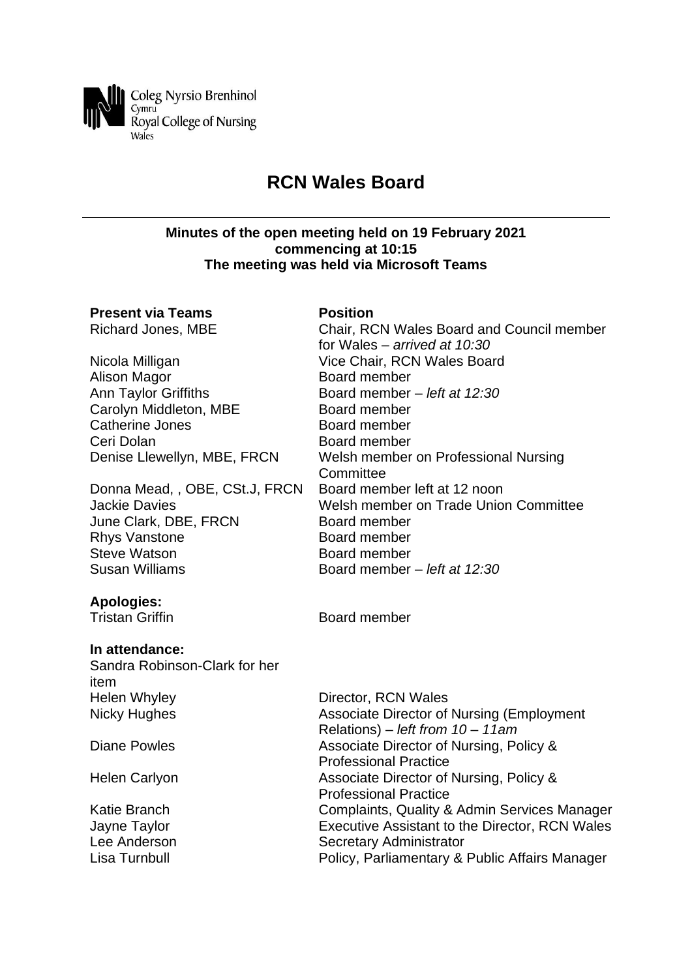

# **RCN Wales Board**

#### **Minutes of the open meeting held on 19 February 2021 commencing at 10:15 The meeting was held via Microsoft Teams**

# **Present via Teams Position**

Alison Magor **Board member** Ann Taylor Griffiths Board member *– left at 12:30* Carolyn Middleton, MBE Board member Catherine Jones **Board member** Ceri Dolan Board member

Donna Mead, , OBE, CSt.J, FRCN Board member left at 12 noon June Clark, DBE, FRCN Board member Rhys Vanstone Board member Steve Watson **Board member** Susan Williams Board member *– left at 12:30*

# **Apologies:**

# **In attendance:**

Sandra Robinson-Clark for her item Helen Whyley Nicky Hughes

Diane Powles

Helen Carlyon

Katie Branch Jayne Taylor Lee Anderson Lisa Turnbull

Richard Jones, MBE Chair, RCN Wales Board and Council member for Wales *– arrived at 10:30* Nicola Milligan Vice Chair, RCN Wales Board Denise Llewellyn, MBE, FRCN Welsh member on Professional Nursing **Committee** Jackie Davies Welsh member on Trade Union Committee

**Tristan Griffin** Board member

| Director, RCN Wales                              |
|--------------------------------------------------|
| <b>Associate Director of Nursing (Employment</b> |
| Relations) – left from $10 - 11$ am              |
| Associate Director of Nursing, Policy &          |
| <b>Professional Practice</b>                     |
| Associate Director of Nursing, Policy &          |
| <b>Professional Practice</b>                     |
| Complaints, Quality & Admin Services Manager     |
| Executive Assistant to the Director, RCN Wales   |
| Secretary Administrator                          |
| Policy, Parliamentary & Public Affairs Manager   |
|                                                  |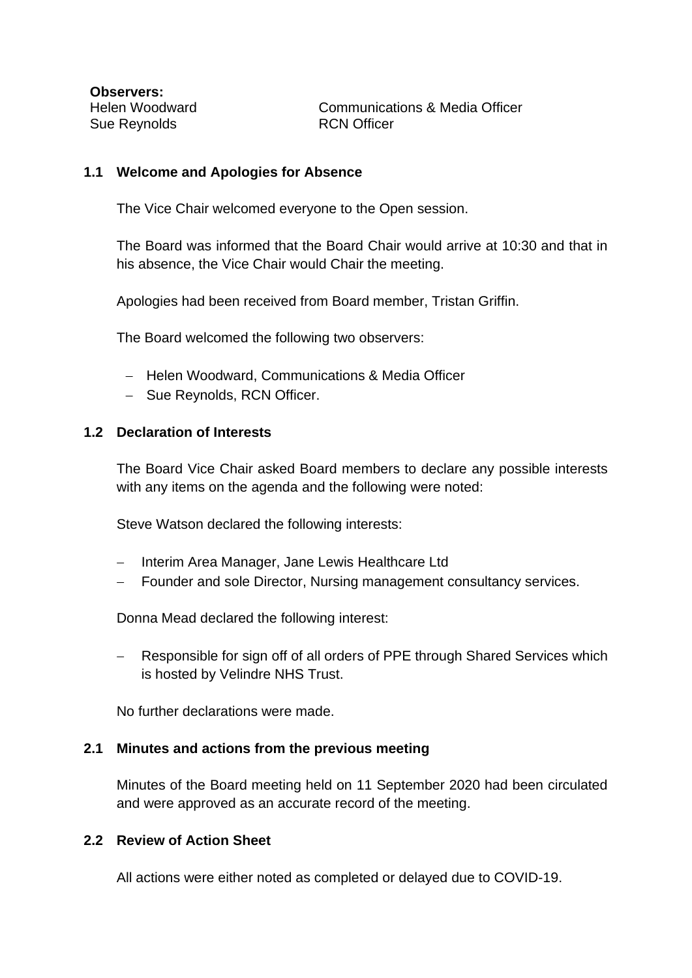**Observers:** Helen Woodward Sue Reynolds

Communications & Media Officer RCN Officer

# **1.1 Welcome and Apologies for Absence**

The Vice Chair welcomed everyone to the Open session.

The Board was informed that the Board Chair would arrive at 10:30 and that in his absence, the Vice Chair would Chair the meeting.

Apologies had been received from Board member, Tristan Griffin.

The Board welcomed the following two observers:

- − Helen Woodward, Communications & Media Officer
- − Sue Reynolds, RCN Officer.

### **1.2 Declaration of Interests**

The Board Vice Chair asked Board members to declare any possible interests with any items on the agenda and the following were noted:

Steve Watson declared the following interests:

- − Interim Area Manager, Jane Lewis Healthcare Ltd
- Founder and sole Director, Nursing management consultancy services.

Donna Mead declared the following interest:

Responsible for sign off of all orders of PPE through Shared Services which is hosted by Velindre NHS Trust.

No further declarations were made.

# **2.1 Minutes and actions from the previous meeting**

Minutes of the Board meeting held on 11 September 2020 had been circulated and were approved as an accurate record of the meeting.

### **2.2 Review of Action Sheet**

All actions were either noted as completed or delayed due to COVID-19.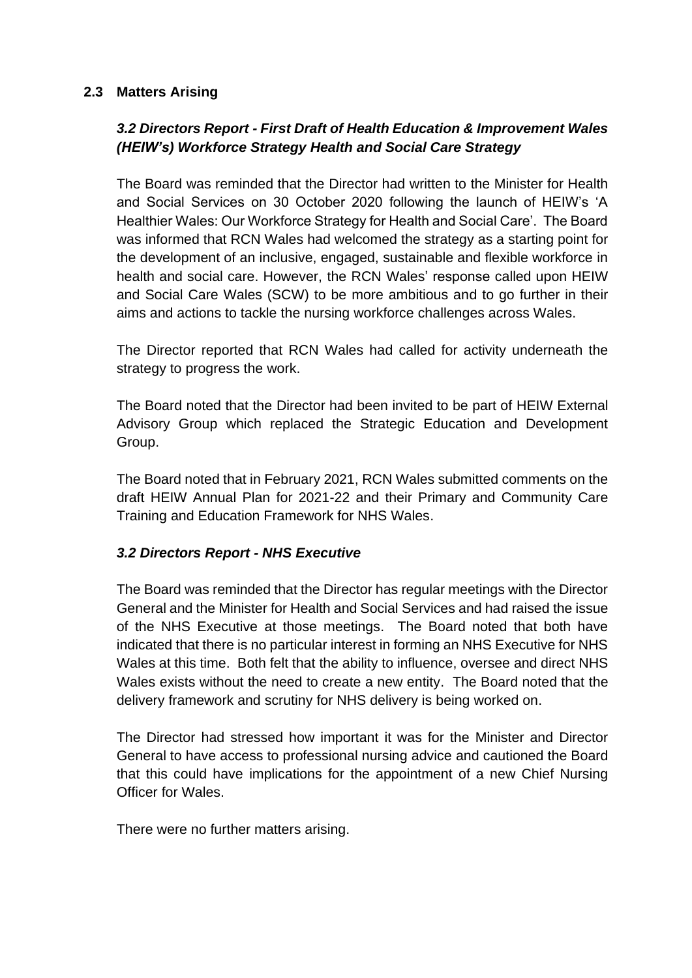# **2.3 Matters Arising**

# *3.2 Directors Report - First Draft of Health Education & Improvement Wales (HEIW's) Workforce Strategy Health and Social Care Strategy*

The Board was reminded that the Director had written to the Minister for Health and Social Services on 30 October 2020 following the launch of HEIW's 'A Healthier Wales: Our Workforce Strategy for Health and Social Care'. The Board was informed that RCN Wales had welcomed the strategy as a starting point for the development of an inclusive, engaged, sustainable and flexible workforce in health and social care. However, the RCN Wales' response called upon HEIW and Social Care Wales (SCW) to be more ambitious and to go further in their aims and actions to tackle the nursing workforce challenges across Wales.

The Director reported that RCN Wales had called for activity underneath the strategy to progress the work.

The Board noted that the Director had been invited to be part of HEIW External Advisory Group which replaced the Strategic Education and Development Group.

The Board noted that in February 2021, RCN Wales submitted comments on the draft HEIW Annual Plan for 2021-22 and their Primary and Community Care Training and Education Framework for NHS Wales.

# *3.2 Directors Report - NHS Executive*

The Board was reminded that the Director has regular meetings with the Director General and the Minister for Health and Social Services and had raised the issue of the NHS Executive at those meetings. The Board noted that both have indicated that there is no particular interest in forming an NHS Executive for NHS Wales at this time. Both felt that the ability to influence, oversee and direct NHS Wales exists without the need to create a new entity. The Board noted that the delivery framework and scrutiny for NHS delivery is being worked on.

The Director had stressed how important it was for the Minister and Director General to have access to professional nursing advice and cautioned the Board that this could have implications for the appointment of a new Chief Nursing Officer for Wales.

There were no further matters arising.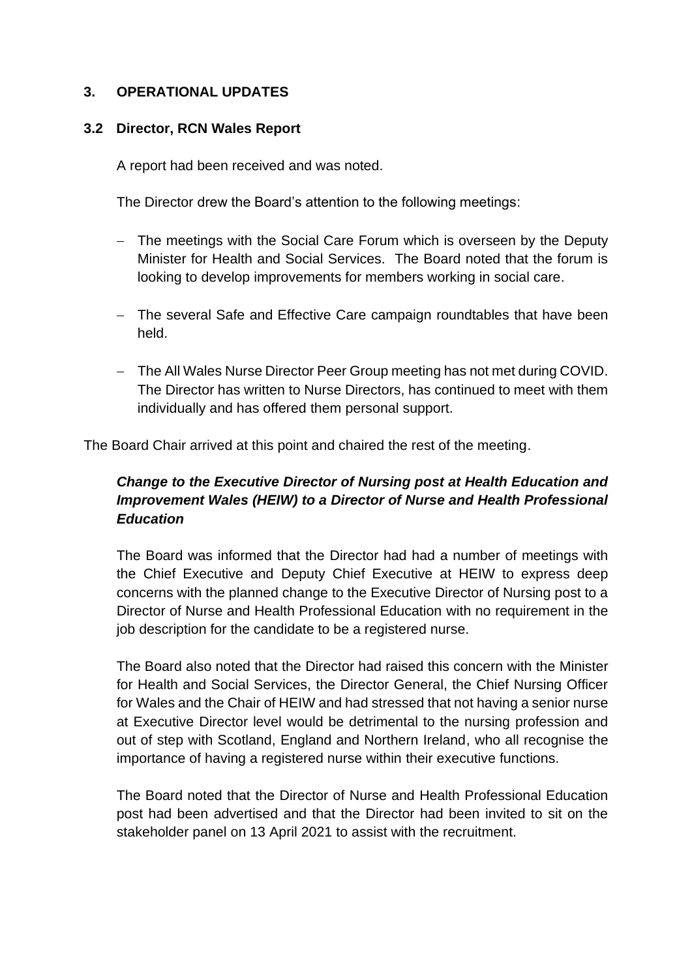# **3. OPERATIONAL UPDATES**

# **3.2 Director, RCN Wales Report**

A report had been received and was noted.

The Director drew the Board's attention to the following meetings:

- − The meetings with the Social Care Forum which is overseen by the Deputy Minister for Health and Social Services. The Board noted that the forum is looking to develop improvements for members working in social care.
- − The several Safe and Effective Care campaign roundtables that have been held.
- − The All Wales Nurse Director Peer Group meeting has not met during COVID. The Director has written to Nurse Directors, has continued to meet with them individually and has offered them personal support.

The Board Chair arrived at this point and chaired the rest of the meeting.

# *Change to the Executive Director of Nursing post at Health Education and Improvement Wales (HEIW) to a Director of Nurse and Health Professional Education*

The Board was informed that the Director had had a number of meetings with the Chief Executive and Deputy Chief Executive at HEIW to express deep concerns with the planned change to the Executive Director of Nursing post to a Director of Nurse and Health Professional Education with no requirement in the job description for the candidate to be a registered nurse.

The Board also noted that the Director had raised this concern with the Minister for Health and Social Services, the Director General, the Chief Nursing Officer for Wales and the Chair of HEIW and had stressed that not having a senior nurse at Executive Director level would be detrimental to the nursing profession and out of step with Scotland, England and Northern Ireland, who all recognise the importance of having a registered nurse within their executive functions.

The Board noted that the Director of Nurse and Health Professional Education post had been advertised and that the Director had been invited to sit on the stakeholder panel on 13 April 2021 to assist with the recruitment.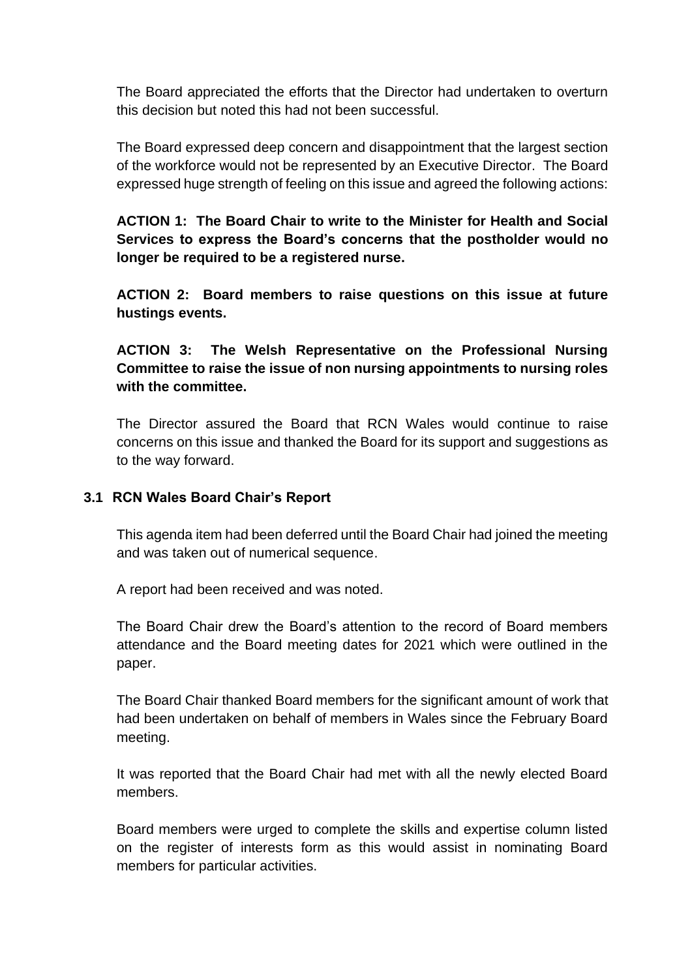The Board appreciated the efforts that the Director had undertaken to overturn this decision but noted this had not been successful.

The Board expressed deep concern and disappointment that the largest section of the workforce would not be represented by an Executive Director. The Board expressed huge strength of feeling on this issue and agreed the following actions:

**ACTION 1: The Board Chair to write to the Minister for Health and Social Services to express the Board's concerns that the postholder would no longer be required to be a registered nurse.**

**ACTION 2: Board members to raise questions on this issue at future hustings events.**

**ACTION 3: The Welsh Representative on the Professional Nursing Committee to raise the issue of non nursing appointments to nursing roles with the committee.**

The Director assured the Board that RCN Wales would continue to raise concerns on this issue and thanked the Board for its support and suggestions as to the way forward.

# **3.1 RCN Wales Board Chair's Report**

This agenda item had been deferred until the Board Chair had joined the meeting and was taken out of numerical sequence.

A report had been received and was noted.

The Board Chair drew the Board's attention to the record of Board members attendance and the Board meeting dates for 2021 which were outlined in the paper.

The Board Chair thanked Board members for the significant amount of work that had been undertaken on behalf of members in Wales since the February Board meeting.

It was reported that the Board Chair had met with all the newly elected Board members.

Board members were urged to complete the skills and expertise column listed on the register of interests form as this would assist in nominating Board members for particular activities.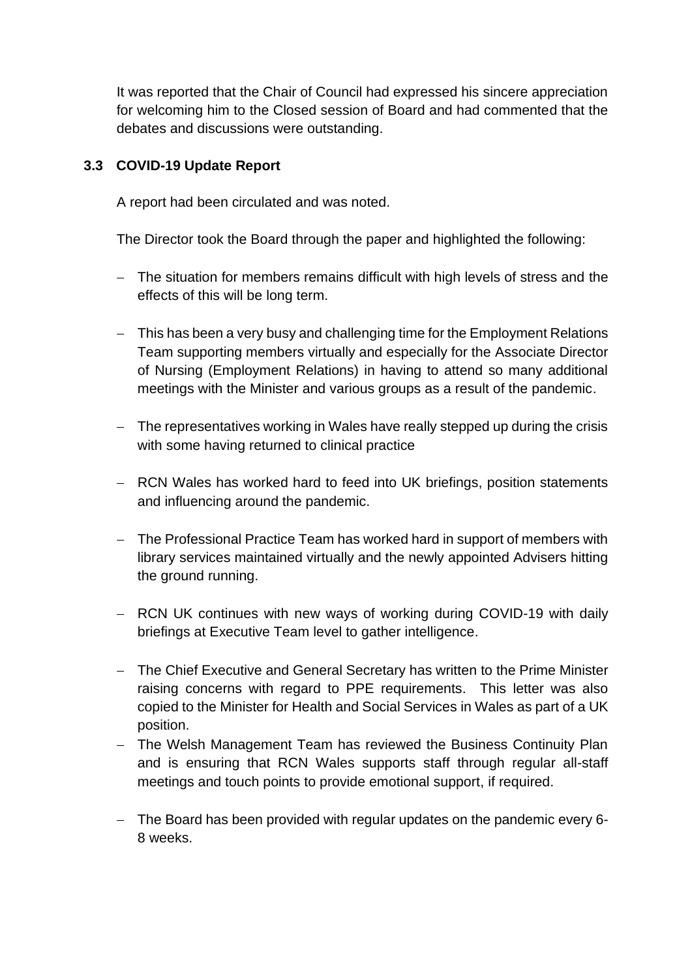It was reported that the Chair of Council had expressed his sincere appreciation for welcoming him to the Closed session of Board and had commented that the debates and discussions were outstanding.

# **3.3 COVID-19 Update Report**

A report had been circulated and was noted.

The Director took the Board through the paper and highlighted the following:

- − The situation for members remains difficult with high levels of stress and the effects of this will be long term.
- − This has been a very busy and challenging time for the Employment Relations Team supporting members virtually and especially for the Associate Director of Nursing (Employment Relations) in having to attend so many additional meetings with the Minister and various groups as a result of the pandemic.
- − The representatives working in Wales have really stepped up during the crisis with some having returned to clinical practice
- − RCN Wales has worked hard to feed into UK briefings, position statements and influencing around the pandemic.
- − The Professional Practice Team has worked hard in support of members with library services maintained virtually and the newly appointed Advisers hitting the ground running.
- − RCN UK continues with new ways of working during COVID-19 with daily briefings at Executive Team level to gather intelligence.
- − The Chief Executive and General Secretary has written to the Prime Minister raising concerns with regard to PPE requirements. This letter was also copied to the Minister for Health and Social Services in Wales as part of a UK position.
- − The Welsh Management Team has reviewed the Business Continuity Plan and is ensuring that RCN Wales supports staff through regular all-staff meetings and touch points to provide emotional support, if required.
- − The Board has been provided with regular updates on the pandemic every 6- 8 weeks.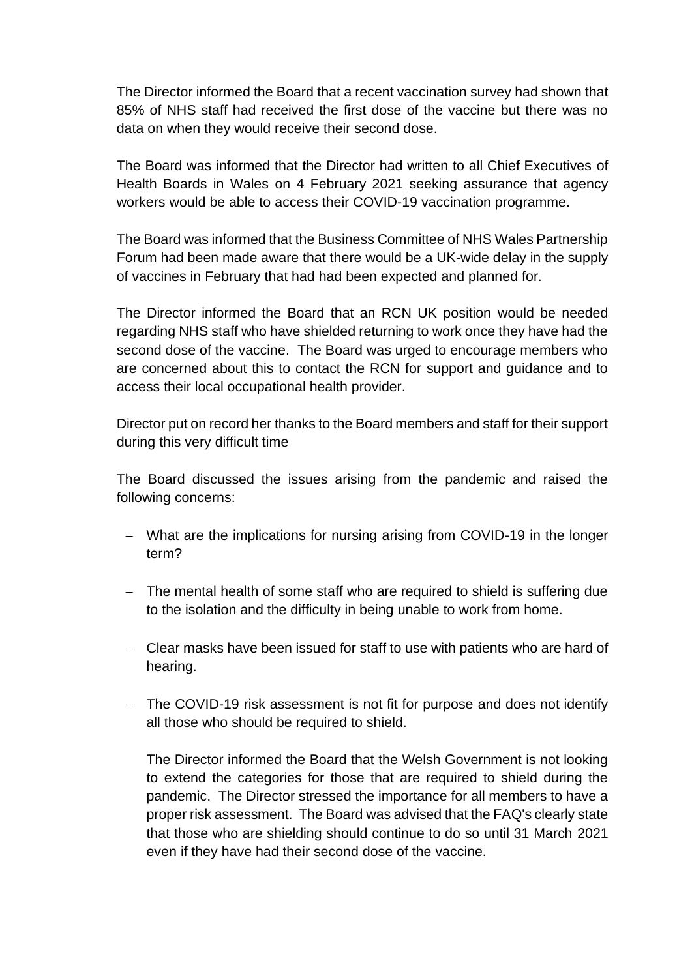The Director informed the Board that a recent vaccination survey had shown that 85% of NHS staff had received the first dose of the vaccine but there was no data on when they would receive their second dose.

The Board was informed that the Director had written to all Chief Executives of Health Boards in Wales on 4 February 2021 seeking assurance that agency workers would be able to access their COVID-19 vaccination programme.

The Board was informed that the Business Committee of NHS Wales Partnership Forum had been made aware that there would be a UK-wide delay in the supply of vaccines in February that had had been expected and planned for.

The Director informed the Board that an RCN UK position would be needed regarding NHS staff who have shielded returning to work once they have had the second dose of the vaccine. The Board was urged to encourage members who are concerned about this to contact the RCN for support and guidance and to access their local occupational health provider.

Director put on record her thanks to the Board members and staff for their support during this very difficult time

The Board discussed the issues arising from the pandemic and raised the following concerns:

- − What are the implications for nursing arising from COVID-19 in the longer term?
- − The mental health of some staff who are required to shield is suffering due to the isolation and the difficulty in being unable to work from home.
- − Clear masks have been issued for staff to use with patients who are hard of hearing.
- − The COVID-19 risk assessment is not fit for purpose and does not identify all those who should be required to shield.

The Director informed the Board that the Welsh Government is not looking to extend the categories for those that are required to shield during the pandemic. The Director stressed the importance for all members to have a proper risk assessment. The Board was advised that the FAQ's clearly state that those who are shielding should continue to do so until 31 March 2021 even if they have had their second dose of the vaccine.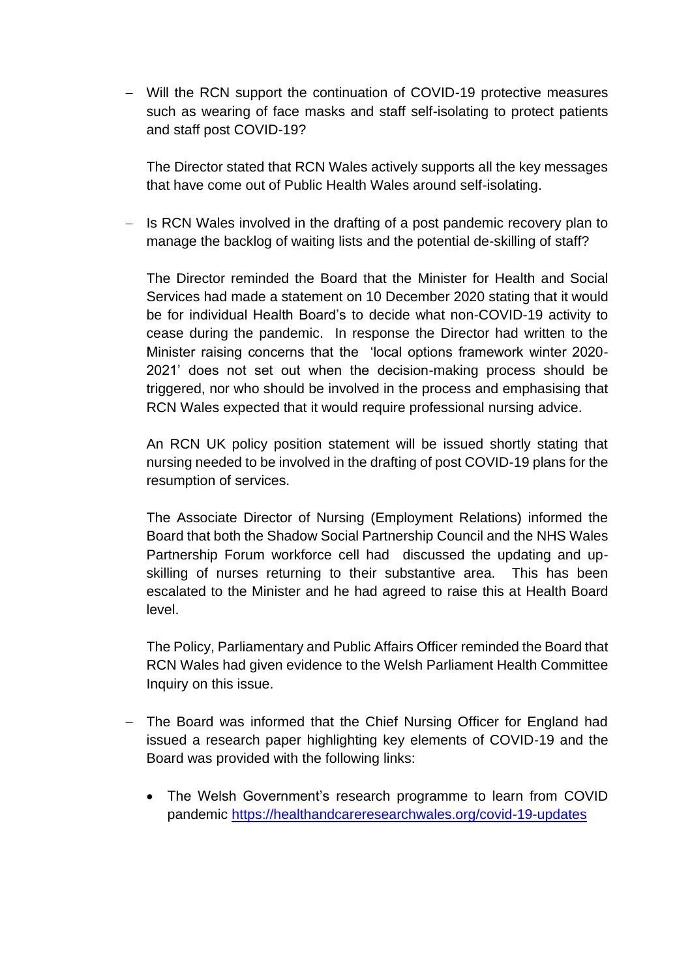− Will the RCN support the continuation of COVID-19 protective measures such as wearing of face masks and staff self-isolating to protect patients and staff post COVID-19?

The Director stated that RCN Wales actively supports all the key messages that have come out of Public Health Wales around self-isolating.

− Is RCN Wales involved in the drafting of a post pandemic recovery plan to manage the backlog of waiting lists and the potential de-skilling of staff?

The Director reminded the Board that the Minister for Health and Social Services had made a statement on 10 December 2020 stating that it would be for individual Health Board's to decide what non-COVID-19 activity to cease during the pandemic. In response the Director had written to the Minister raising concerns that the 'local options framework winter 2020- 2021' does not set out when the decision-making process should be triggered, nor who should be involved in the process and emphasising that RCN Wales expected that it would require professional nursing advice.

An RCN UK policy position statement will be issued shortly stating that nursing needed to be involved in the drafting of post COVID-19 plans for the resumption of services.

The Associate Director of Nursing (Employment Relations) informed the Board that both the Shadow Social Partnership Council and the NHS Wales Partnership Forum workforce cell had discussed the updating and upskilling of nurses returning to their substantive area. This has been escalated to the Minister and he had agreed to raise this at Health Board level.

The Policy, Parliamentary and Public Affairs Officer reminded the Board that RCN Wales had given evidence to the Welsh Parliament Health Committee Inquiry on this issue.

- − The Board was informed that the Chief Nursing Officer for England had issued a research paper highlighting key elements of COVID-19 and the Board was provided with the following links:
	- The Welsh Government's research programme to learn from COVID pandemic <https://healthandcareresearchwales.org/covid-19-updates>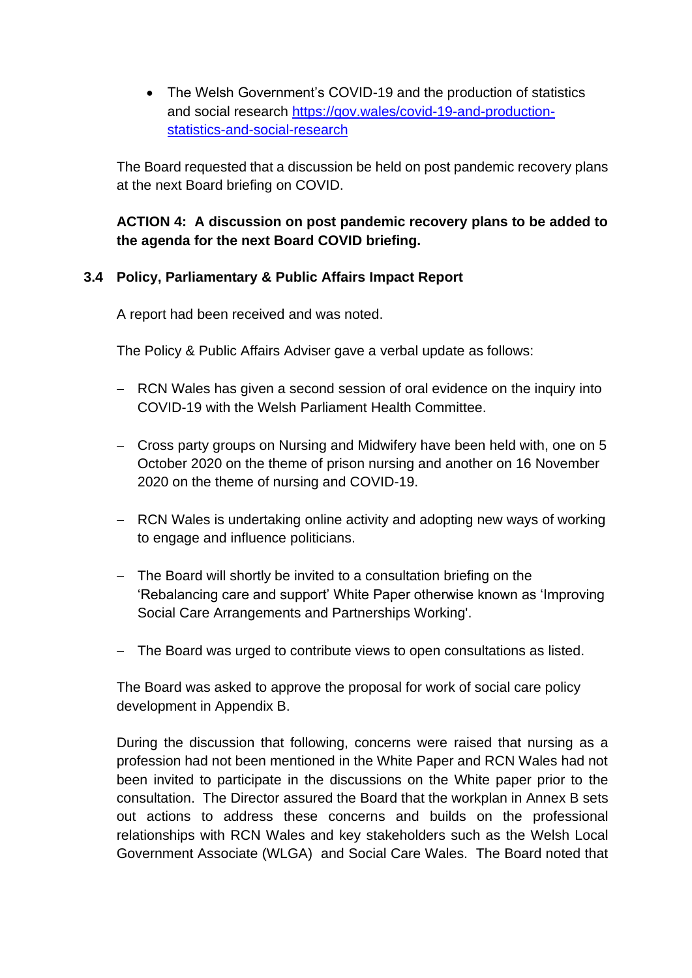• The Welsh Government's COVID-19 and the production of statistics and social research [https://gov.wales/covid-19-and-production](https://gov.wales/covid-19-and-production-statistics-and-social-research)[statistics-and-social-research](https://gov.wales/covid-19-and-production-statistics-and-social-research)

The Board requested that a discussion be held on post pandemic recovery plans at the next Board briefing on COVID.

# **ACTION 4: A discussion on post pandemic recovery plans to be added to the agenda for the next Board COVID briefing.**

# **3.4 Policy, Parliamentary & Public Affairs Impact Report**

A report had been received and was noted.

The Policy & Public Affairs Adviser gave a verbal update as follows:

- − RCN Wales has given a second session of oral evidence on the inquiry into COVID-19 with the Welsh Parliament Health Committee.
- − Cross party groups on Nursing and Midwifery have been held with, one on 5 October 2020 on the theme of prison nursing and another on 16 November 2020 on the theme of nursing and COVID-19.
- − RCN Wales is undertaking online activity and adopting new ways of working to engage and influence politicians.
- − The Board will shortly be invited to a consultation briefing on the 'Rebalancing care and support' White Paper otherwise known as 'Improving Social Care Arrangements and Partnerships Working'.
- − The Board was urged to contribute views to open consultations as listed.

The Board was asked to approve the proposal for work of social care policy development in Appendix B.

During the discussion that following, concerns were raised that nursing as a profession had not been mentioned in the White Paper and RCN Wales had not been invited to participate in the discussions on the White paper prior to the consultation. The Director assured the Board that the workplan in Annex B sets out actions to address these concerns and builds on the professional relationships with RCN Wales and key stakeholders such as the Welsh Local Government Associate (WLGA) and Social Care Wales. The Board noted that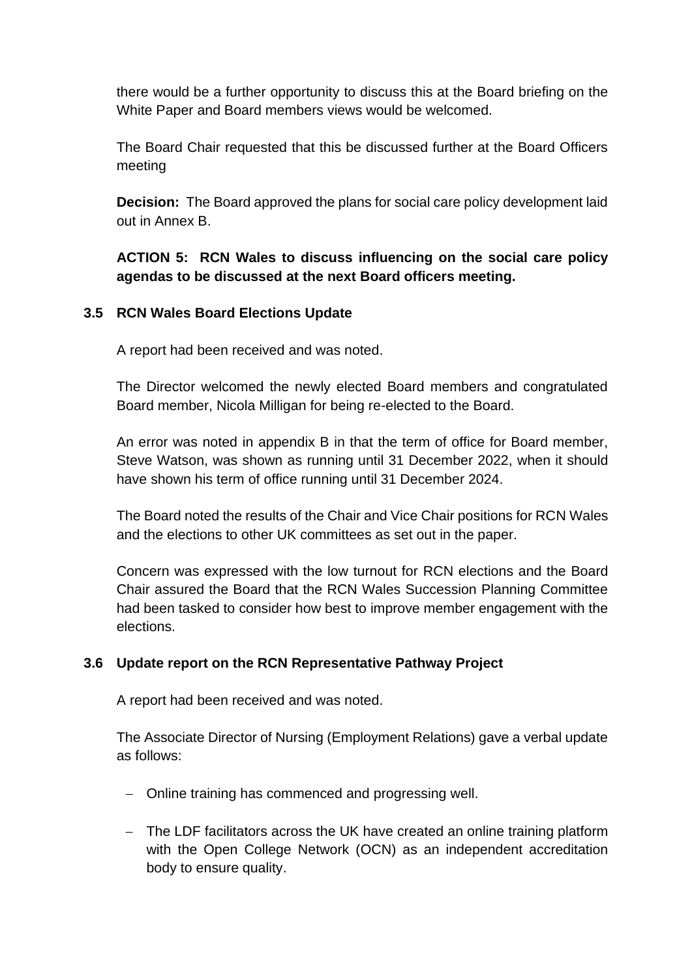there would be a further opportunity to discuss this at the Board briefing on the White Paper and Board members views would be welcomed.

The Board Chair requested that this be discussed further at the Board Officers meeting

**Decision:** The Board approved the plans for social care policy development laid out in Annex B.

**ACTION 5: RCN Wales to discuss influencing on the social care policy agendas to be discussed at the next Board officers meeting.**

# **3.5 RCN Wales Board Elections Update**

A report had been received and was noted.

The Director welcomed the newly elected Board members and congratulated Board member, Nicola Milligan for being re-elected to the Board.

An error was noted in appendix B in that the term of office for Board member, Steve Watson, was shown as running until 31 December 2022, when it should have shown his term of office running until 31 December 2024.

The Board noted the results of the Chair and Vice Chair positions for RCN Wales and the elections to other UK committees as set out in the paper.

Concern was expressed with the low turnout for RCN elections and the Board Chair assured the Board that the RCN Wales Succession Planning Committee had been tasked to consider how best to improve member engagement with the elections.

# **3.6 Update report on the RCN Representative Pathway Project**

A report had been received and was noted.

The Associate Director of Nursing (Employment Relations) gave a verbal update as follows:

- − Online training has commenced and progressing well.
- − The LDF facilitators across the UK have created an online training platform with the Open College Network (OCN) as an independent accreditation body to ensure quality.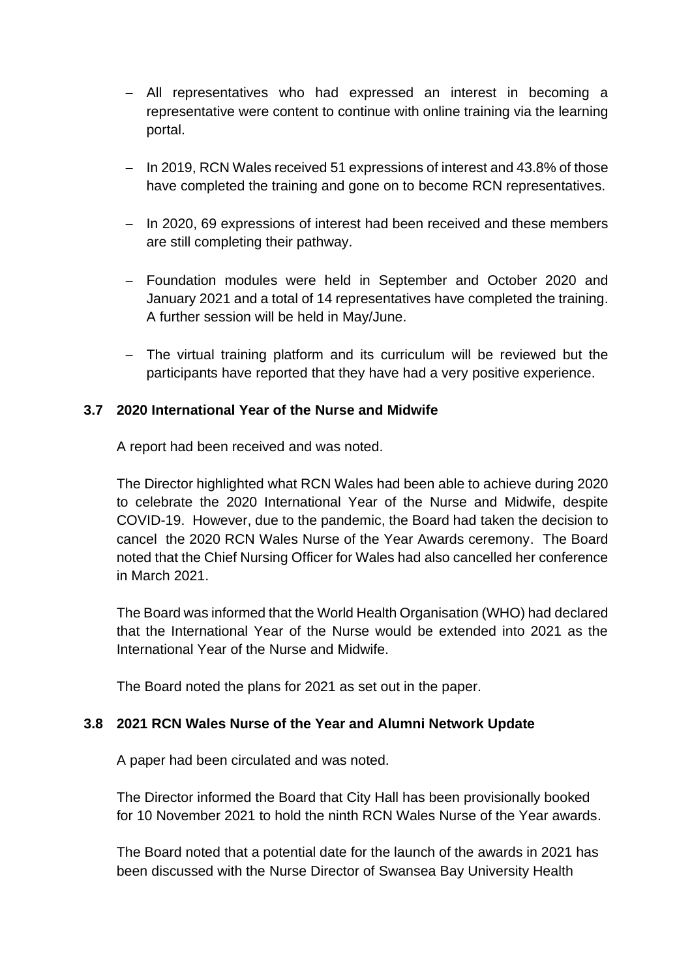- − All representatives who had expressed an interest in becoming a representative were content to continue with online training via the learning portal.
- − In 2019, RCN Wales received 51 expressions of interest and 43.8% of those have completed the training and gone on to become RCN representatives.
- − In 2020, 69 expressions of interest had been received and these members are still completing their pathway.
- − Foundation modules were held in September and October 2020 and January 2021 and a total of 14 representatives have completed the training. A further session will be held in May/June.
- − The virtual training platform and its curriculum will be reviewed but the participants have reported that they have had a very positive experience.

# **3.7 2020 International Year of the Nurse and Midwife**

A report had been received and was noted.

The Director highlighted what RCN Wales had been able to achieve during 2020 to celebrate the 2020 International Year of the Nurse and Midwife, despite COVID-19. However, due to the pandemic, the Board had taken the decision to cancel the 2020 RCN Wales Nurse of the Year Awards ceremony. The Board noted that the Chief Nursing Officer for Wales had also cancelled her conference in March 2021.

The Board was informed that the World Health Organisation (WHO) had declared that the International Year of the Nurse would be extended into 2021 as the International Year of the Nurse and Midwife.

The Board noted the plans for 2021 as set out in the paper.

# **3.8 2021 RCN Wales Nurse of the Year and Alumni Network Update**

A paper had been circulated and was noted.

The Director informed the Board that City Hall has been provisionally booked for 10 November 2021 to hold the ninth RCN Wales Nurse of the Year awards.

The Board noted that a potential date for the launch of the awards in 2021 has been discussed with the Nurse Director of Swansea Bay University Health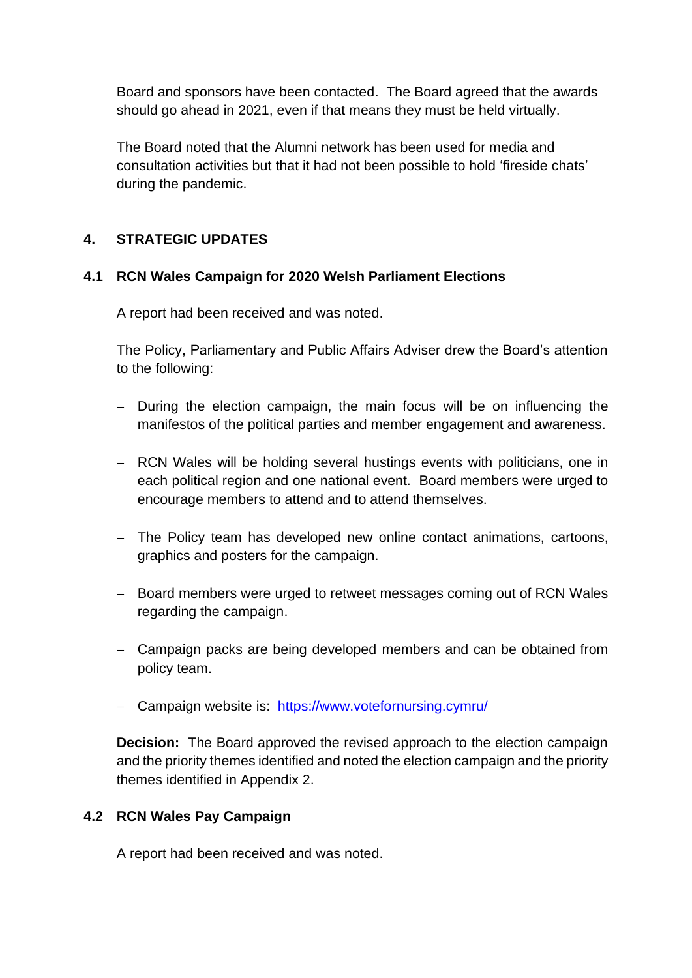Board and sponsors have been contacted. The Board agreed that the awards should go ahead in 2021, even if that means they must be held virtually.

The Board noted that the Alumni network has been used for media and consultation activities but that it had not been possible to hold 'fireside chats' during the pandemic.

# **4. STRATEGIC UPDATES**

# **4.1 RCN Wales Campaign for 2020 Welsh Parliament Elections**

A report had been received and was noted.

The Policy, Parliamentary and Public Affairs Adviser drew the Board's attention to the following:

- − During the election campaign, the main focus will be on influencing the manifestos of the political parties and member engagement and awareness.
- − RCN Wales will be holding several hustings events with politicians, one in each political region and one national event. Board members were urged to encourage members to attend and to attend themselves.
- − The Policy team has developed new online contact animations, cartoons, graphics and posters for the campaign.
- − Board members were urged to retweet messages coming out of RCN Wales regarding the campaign.
- − Campaign packs are being developed members and can be obtained from policy team.
- − Campaign website is: <https://www.votefornursing.cymru/>

**Decision:** The Board approved the revised approach to the election campaign and the priority themes identified and noted the election campaign and the priority themes identified in Appendix 2.

# **4.2 RCN Wales Pay Campaign**

A report had been received and was noted.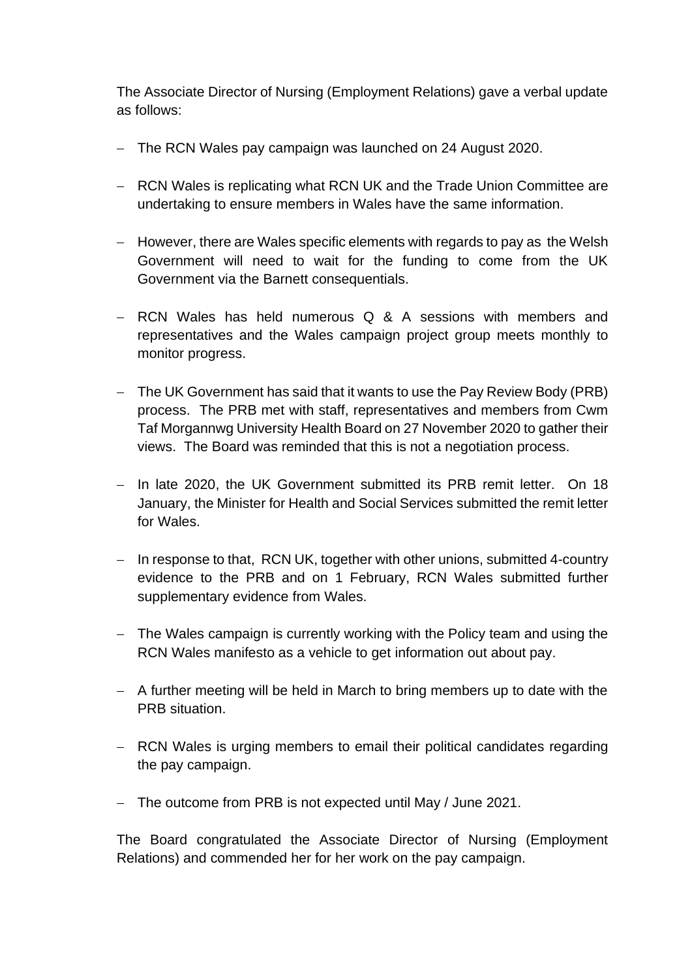The Associate Director of Nursing (Employment Relations) gave a verbal update as follows:

- − The RCN Wales pay campaign was launched on 24 August 2020.
- − RCN Wales is replicating what RCN UK and the Trade Union Committee are undertaking to ensure members in Wales have the same information.
- − However, there are Wales specific elements with regards to pay as the Welsh Government will need to wait for the funding to come from the UK Government via the Barnett consequentials.
- − RCN Wales has held numerous Q & A sessions with members and representatives and the Wales campaign project group meets monthly to monitor progress.
- − The UK Government has said that it wants to use the Pay Review Body (PRB) process. The PRB met with staff, representatives and members from Cwm Taf Morgannwg University Health Board on 27 November 2020 to gather their views. The Board was reminded that this is not a negotiation process.
- − In late 2020, the UK Government submitted its PRB remit letter. On 18 January, the Minister for Health and Social Services submitted the remit letter for Wales.
- − In response to that, RCN UK, together with other unions, submitted 4-country evidence to the PRB and on 1 February, RCN Wales submitted further supplementary evidence from Wales.
- − The Wales campaign is currently working with the Policy team and using the RCN Wales manifesto as a vehicle to get information out about pay.
- − A further meeting will be held in March to bring members up to date with the PRB situation.
- − RCN Wales is urging members to email their political candidates regarding the pay campaign.
- − The outcome from PRB is not expected until May / June 2021.

The Board congratulated the Associate Director of Nursing (Employment Relations) and commended her for her work on the pay campaign.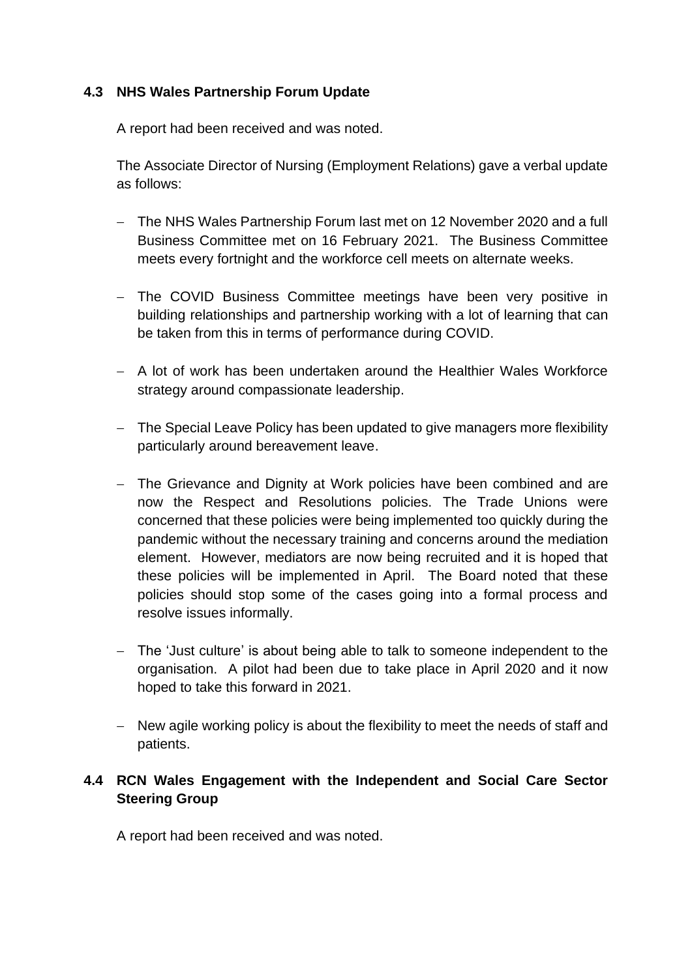# **4.3 NHS Wales Partnership Forum Update**

A report had been received and was noted.

The Associate Director of Nursing (Employment Relations) gave a verbal update as follows:

- − The NHS Wales Partnership Forum last met on 12 November 2020 and a full Business Committee met on 16 February 2021. The Business Committee meets every fortnight and the workforce cell meets on alternate weeks.
- − The COVID Business Committee meetings have been very positive in building relationships and partnership working with a lot of learning that can be taken from this in terms of performance during COVID.
- − A lot of work has been undertaken around the Healthier Wales Workforce strategy around compassionate leadership.
- − The Special Leave Policy has been updated to give managers more flexibility particularly around bereavement leave.
- − The Grievance and Dignity at Work policies have been combined and are now the Respect and Resolutions policies. The Trade Unions were concerned that these policies were being implemented too quickly during the pandemic without the necessary training and concerns around the mediation element. However, mediators are now being recruited and it is hoped that these policies will be implemented in April. The Board noted that these policies should stop some of the cases going into a formal process and resolve issues informally.
- − The 'Just culture' is about being able to talk to someone independent to the organisation. A pilot had been due to take place in April 2020 and it now hoped to take this forward in 2021.
- − New agile working policy is about the flexibility to meet the needs of staff and patients.

# **4.4 RCN Wales Engagement with the Independent and Social Care Sector Steering Group**

A report had been received and was noted.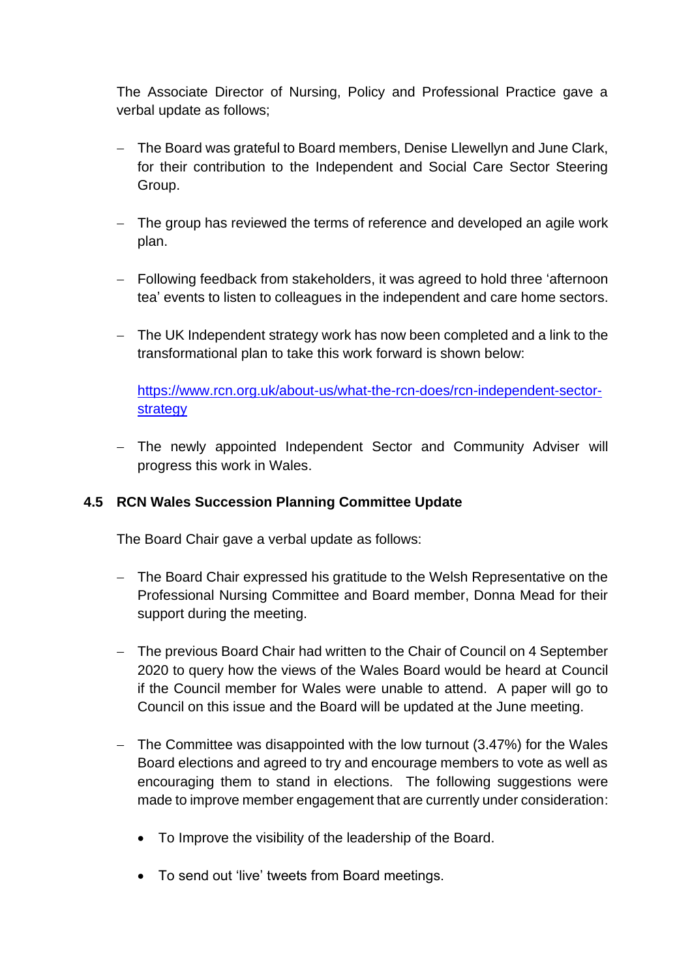The Associate Director of Nursing, Policy and Professional Practice gave a verbal update as follows;

- − The Board was grateful to Board members, Denise Llewellyn and June Clark, for their contribution to the Independent and Social Care Sector Steering Group.
- − The group has reviewed the terms of reference and developed an agile work plan.
- − Following feedback from stakeholders, it was agreed to hold three 'afternoon tea' events to listen to colleagues in the independent and care home sectors.
- − The UK Independent strategy work has now been completed and a link to the transformational plan to take this work forward is shown below:

[https://www.rcn.org.uk/about-us/what-the-rcn-does/rcn-independent-sector](https://www.rcn.org.uk/about-us/what-the-rcn-does/rcn-independent-sector-strategy)[strategy](https://www.rcn.org.uk/about-us/what-the-rcn-does/rcn-independent-sector-strategy)

− The newly appointed Independent Sector and Community Adviser will progress this work in Wales.

# **4.5 RCN Wales Succession Planning Committee Update**

The Board Chair gave a verbal update as follows:

- − The Board Chair expressed his gratitude to the Welsh Representative on the Professional Nursing Committee and Board member, Donna Mead for their support during the meeting.
- − The previous Board Chair had written to the Chair of Council on 4 September 2020 to query how the views of the Wales Board would be heard at Council if the Council member for Wales were unable to attend. A paper will go to Council on this issue and the Board will be updated at the June meeting.
- − The Committee was disappointed with the low turnout (3.47%) for the Wales Board elections and agreed to try and encourage members to vote as well as encouraging them to stand in elections. The following suggestions were made to improve member engagement that are currently under consideration:
	- To Improve the visibility of the leadership of the Board.
	- To send out 'live' tweets from Board meetings.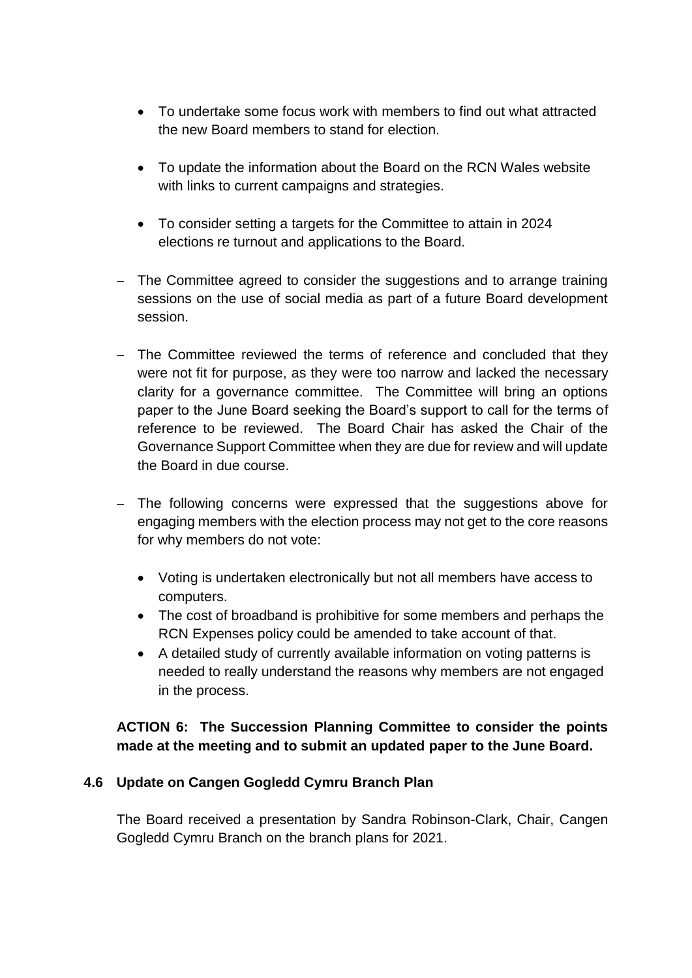- To undertake some focus work with members to find out what attracted the new Board members to stand for election.
- To update the information about the Board on the RCN Wales website with links to current campaigns and strategies.
- To consider setting a targets for the Committee to attain in 2024 elections re turnout and applications to the Board.
- − The Committee agreed to consider the suggestions and to arrange training sessions on the use of social media as part of a future Board development session.
- − The Committee reviewed the terms of reference and concluded that they were not fit for purpose, as they were too narrow and lacked the necessary clarity for a governance committee. The Committee will bring an options paper to the June Board seeking the Board's support to call for the terms of reference to be reviewed. The Board Chair has asked the Chair of the Governance Support Committee when they are due for review and will update the Board in due course.
- − The following concerns were expressed that the suggestions above for engaging members with the election process may not get to the core reasons for why members do not vote:
	- Voting is undertaken electronically but not all members have access to computers.
	- The cost of broadband is prohibitive for some members and perhaps the RCN Expenses policy could be amended to take account of that.
	- A detailed study of currently available information on voting patterns is needed to really understand the reasons why members are not engaged in the process.

# **ACTION 6: The Succession Planning Committee to consider the points made at the meeting and to submit an updated paper to the June Board.**

# **4.6 Update on Cangen Gogledd Cymru Branch Plan**

The Board received a presentation by Sandra Robinson-Clark, Chair, Cangen Gogledd Cymru Branch on the branch plans for 2021.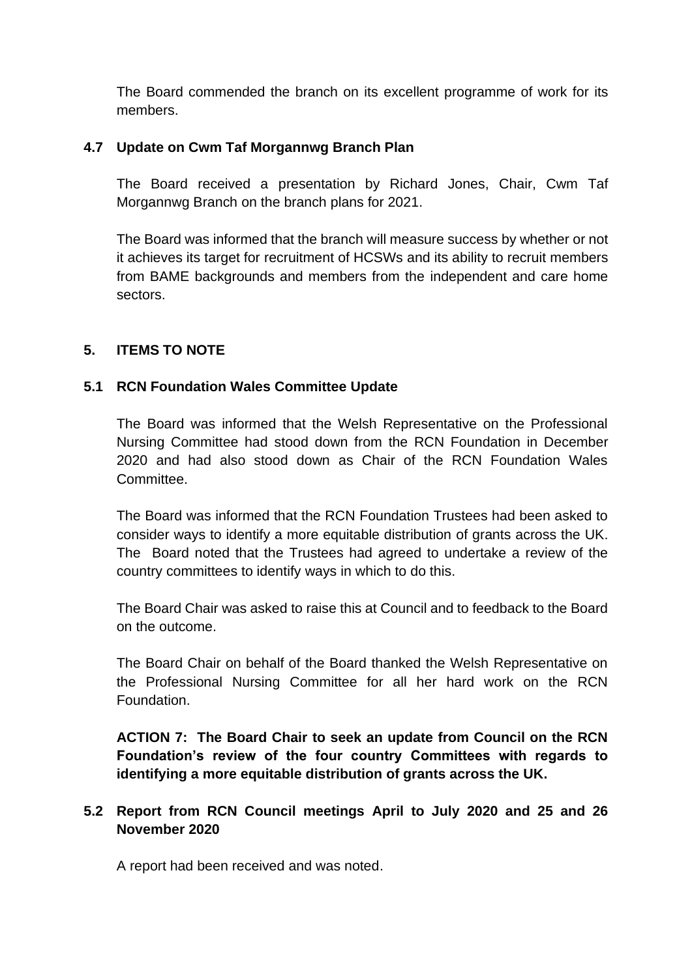The Board commended the branch on its excellent programme of work for its members.

# **4.7 Update on Cwm Taf Morgannwg Branch Plan**

The Board received a presentation by Richard Jones, Chair, Cwm Taf Morgannwg Branch on the branch plans for 2021.

The Board was informed that the branch will measure success by whether or not it achieves its target for recruitment of HCSWs and its ability to recruit members from BAME backgrounds and members from the independent and care home sectors.

# **5. ITEMS TO NOTE**

# **5.1 RCN Foundation Wales Committee Update**

The Board was informed that the Welsh Representative on the Professional Nursing Committee had stood down from the RCN Foundation in December 2020 and had also stood down as Chair of the RCN Foundation Wales **Committee.** 

The Board was informed that the RCN Foundation Trustees had been asked to consider ways to identify a more equitable distribution of grants across the UK. The Board noted that the Trustees had agreed to undertake a review of the country committees to identify ways in which to do this.

The Board Chair was asked to raise this at Council and to feedback to the Board on the outcome.

The Board Chair on behalf of the Board thanked the Welsh Representative on the Professional Nursing Committee for all her hard work on the RCN Foundation.

**ACTION 7: The Board Chair to seek an update from Council on the RCN Foundation's review of the four country Committees with regards to identifying a more equitable distribution of grants across the UK.**

# **5.2 Report from RCN Council meetings April to July 2020 and 25 and 26 November 2020**

A report had been received and was noted.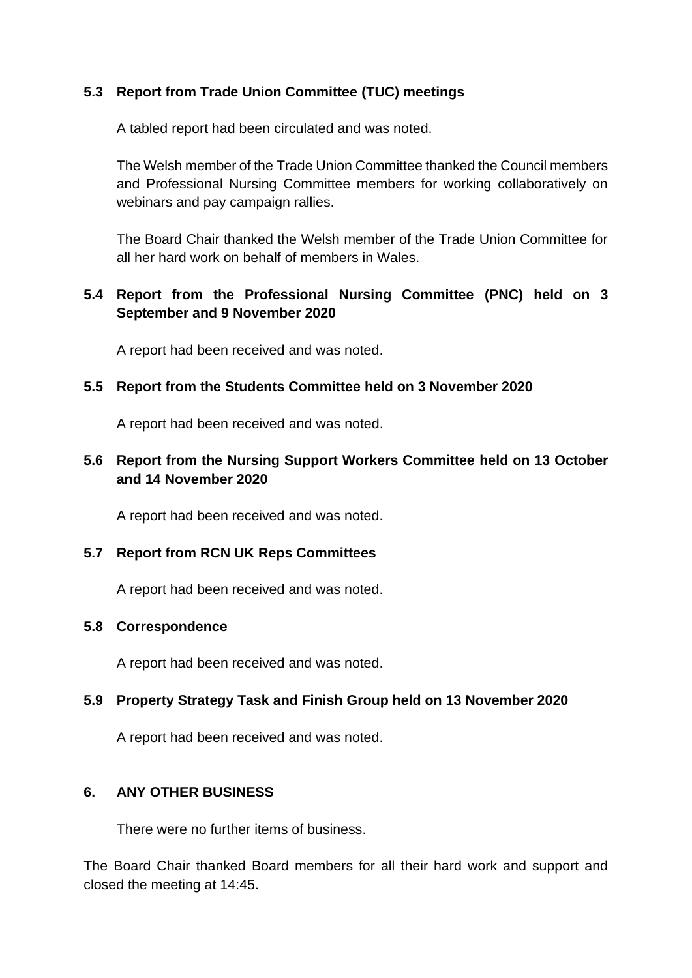# **5.3 Report from Trade Union Committee (TUC) meetings**

A tabled report had been circulated and was noted.

The Welsh member of the Trade Union Committee thanked the Council members and Professional Nursing Committee members for working collaboratively on webinars and pay campaign rallies.

The Board Chair thanked the Welsh member of the Trade Union Committee for all her hard work on behalf of members in Wales.

# **5.4 Report from the Professional Nursing Committee (PNC) held on 3 September and 9 November 2020**

A report had been received and was noted.

# **5.5 Report from the Students Committee held on 3 November 2020**

A report had been received and was noted.

# **5.6 Report from the Nursing Support Workers Committee held on 13 October and 14 November 2020**

A report had been received and was noted.

# **5.7 Report from RCN UK Reps Committees**

A report had been received and was noted.

# **5.8 Correspondence**

A report had been received and was noted.

# **5.9 Property Strategy Task and Finish Group held on 13 November 2020**

A report had been received and was noted.

# **6. ANY OTHER BUSINESS**

There were no further items of business.

The Board Chair thanked Board members for all their hard work and support and closed the meeting at 14:45.